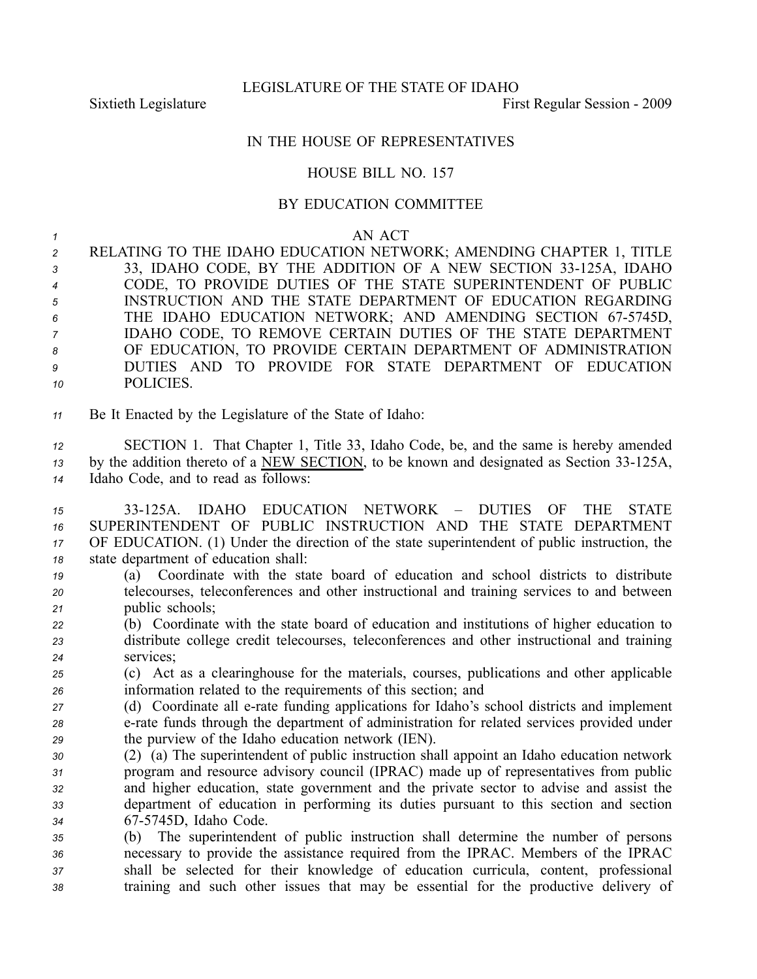## IN THE HOUSE OF REPRESENTATIVES

## HOUSE BILL NO. 157

## BY EDUCATION COMMITTEE

## *<sup>1</sup>* AN ACT

 RELATING TO THE IDAHO EDUCATION NETWORK; AMENDING CHAPTER 1, TITLE 3 33, IDAHO CODE, BY THE ADDITION OF A NEW SECTION 33-125A, IDAHO CODE, TO PROVIDE DUTIES OF THE STATE SUPERINTENDENT OF PUBLIC INSTRUCTION AND THE STATE DEPARTMENT OF EDUCATION REGARDING 6 THE IDAHO EDUCATION NETWORK; AND AMENDING SECTION 67-5745D, IDAHO CODE, TO REMOVE CERTAIN DUTIES OF THE STATE DEPARTMENT OF EDUCATION, TO PROVIDE CERTAIN DEPARTMENT OF ADMINISTRATION DUTIES AND TO PROVIDE FOR STATE DEPARTMENT OF EDUCATION POLICIES.

*<sup>11</sup>* Be It Enacted by the Legislature of the State of Idaho:

*<sup>12</sup>* SECTION 1. That Chapter 1, Title 33, Idaho Code, be, and the same is hereby amended 13 by the addition thereto of a <u>NEW SECTION</u>, to be known and designated as Section 33-125A, *<sup>14</sup>* Idaho Code, and to read as follows:

- *15* 33125A. IDAHO EDUCATION NETWORK DUTIES OF THE STATE *16* SUPERINTENDENT OF PUBLIC INSTRUCTION AND THE STATE DEPARTMENT *<sup>17</sup>* OF EDUCATION. (1) Under the direction of the state superintendent of public instruction, the *<sup>18</sup>* state department of education shall:
- *<sup>19</sup>* (a) Coordinate with the state board of education and school districts to distribute *<sup>20</sup>* telecourses, teleconferences and other instructional and training services to and between *<sup>21</sup>* public schools;
- *<sup>22</sup>* (b) Coordinate with the state board of education and institutions of higher education to *<sup>23</sup>* distribute college credit telecourses, teleconferences and other instructional and training *<sup>24</sup>* services;
- *<sup>25</sup>* (c) Act as <sup>a</sup> clearinghouse for the materials, courses, publications and other applicable *<sup>26</sup>* information related to the requirements of this section; and
- *<sup>27</sup>* (d) Coordinate all erate funding applications for Idaho's school districts and implement *<sup>28</sup>* erate funds through the department of administration for related services provided under *<sup>29</sup>* the purview of the Idaho education network (IEN).
- *<sup>30</sup>* (2) (a) The superintendent of public instruction shall appoint an Idaho education network *<sup>31</sup>* program and resource advisory council (IPRAC) made up of representatives from public *<sup>32</sup>* and higher education, state governmen<sup>t</sup> and the private sector to advise and assist the *<sup>33</sup>* department of education in performing its duties pursuan<sup>t</sup> to this section and section *<sup>34</sup>* 675745D, Idaho Code.
- *<sup>35</sup>* (b) The superintendent of public instruction shall determine the number of persons *<sup>36</sup>* necessary to provide the assistance required from the IPRAC. Members of the IPRAC *<sup>37</sup>* shall be selected for their knowledge of education curricula, content, professional *<sup>38</sup>* training and such other issues that may be essential for the productive delivery of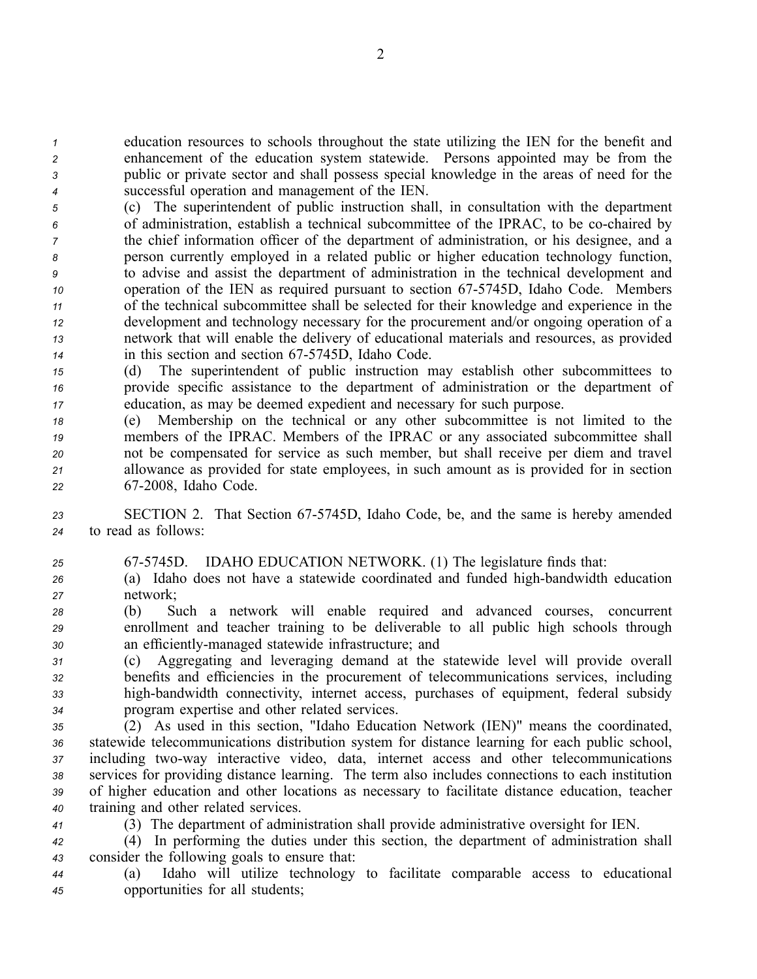education resources to schools throughout the state utilizing the IEN for the benefit and enhancement of the education system statewide. Persons appointed may be from the public or private sector and shall possess special knowledge in the areas of need for the successful operation and managemen<sup>t</sup> of the IEN.

 (c) The superintendent of public instruction shall, in consultation with the department of administration, establish <sup>a</sup> technical subcommittee of the IPRAC, to be cochaired by the chief information officer of the department of administration, or his designee, and <sup>a</sup> person currently employed in <sup>a</sup> related public or higher education technology function, to advise and assist the department of administration in the technical development and operation of the IEN as required pursuan<sup>t</sup> to section 675745D, Idaho Code. Members of the technical subcommittee shall be selected for their knowledge and experience in the development and technology necessary for the procuremen<sup>t</sup> and/or ongoing operation of <sup>a</sup> network that will enable the delivery of educational materials and resources, as provided 14 in this section and section 67-5745D, Idaho Code.

*<sup>15</sup>* (d) The superintendent of public instruction may establish other subcommittees to *<sup>16</sup>* provide specific assistance to the department of administration or the department of *<sup>17</sup>* education, as may be deemed expedient and necessary for such purpose.

- *<sup>18</sup>* (e) Membership on the technical or any other subcommittee is not limited to the *<sup>19</sup>* members of the IPRAC. Members of the IPRAC or any associated subcommittee shall *<sup>20</sup>* not be compensated for service as such member, but shall receive per diem and travel *<sup>21</sup>* allowance as provided for state employees, in such amount as is provided for in section *<sup>22</sup>* 672008, Idaho Code.
- *<sup>23</sup>* SECTION 2. That Section 675745D, Idaho Code, be, and the same is hereby amended *<sup>24</sup>* to read as follows:
- *<sup>25</sup>* 675745D. IDAHO EDUCATION NETWORK. (1) The legislature finds that:
- 26 (a) Idaho does not have a statewide coordinated and funded high-bandwidth education *<sup>27</sup>* network;

*<sup>28</sup>* (b) Such <sup>a</sup> network will enable required and advanced courses, concurrent *<sup>29</sup>* enrollment and teacher training to be deliverable to all public high schools through *<sup>30</sup>* an efficientlymanaged statewide infrastructure; and

 (c) Aggregating and leveraging demand at the statewide level will provide overall benefits and efficiencies in the procuremen<sup>t</sup> of telecommunications services, including 33 high-bandwidth connectivity, internet access, purchases of equipment, federal subsidy program expertise and other related services.

 (2) As used in this section, "Idaho Education Network (IEN)" means the coordinated, statewide telecommunications distribution system for distance learning for each public school, 37 including two-way interactive video, data, internet access and other telecommunications services for providing distance learning. The term also includes connections to each institution of higher education and other locations as necessary to facilitate distance education, teacher training and other related services.

*<sup>41</sup>* (3) The department of administration shall provide administrative oversight for IEN.

*<sup>42</sup>* (4) In performing the duties under this section, the department of administration shall *<sup>43</sup>* consider the following goals to ensure that:

*<sup>44</sup>* (a) Idaho will utilize technology to facilitate comparable access to educational *<sup>45</sup>* opportunities for all students;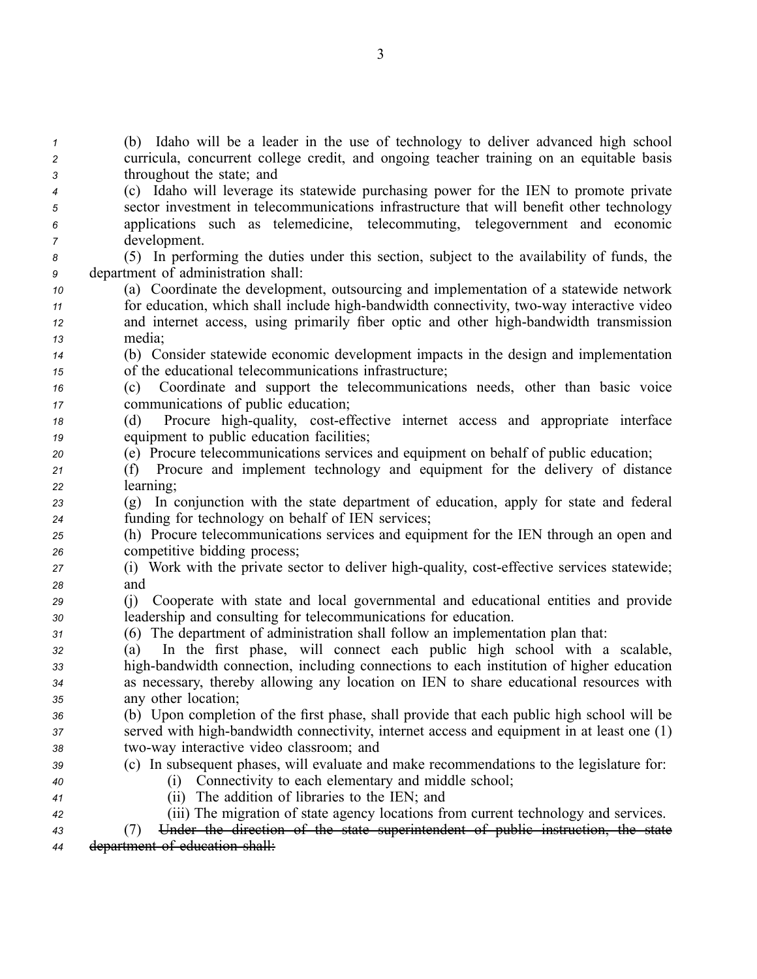*<sup>1</sup>* (b) Idaho will be <sup>a</sup> leader in the use of technology to deliver advanced high school *<sup>2</sup>* curricula, concurrent college credit, and ongoing teacher training on an equitable basis *<sup>3</sup>* throughout the state; and

- *<sup>4</sup>* (c) Idaho will leverage its statewide purchasing power for the IEN to promote private *<sup>5</sup>* sector investment in telecommunications infrastructure that will benefit other technology *<sup>6</sup>* applications such as telemedicine, telecommuting, telegovernment and economic *<sup>7</sup>* development.
- *<sup>8</sup>* (5) In performing the duties under this section, subject to the availability of funds, the *<sup>9</sup>* department of administration shall:
- *<sup>10</sup>* (a) Coordinate the development, outsourcing and implementation of <sup>a</sup> statewide network 11 for education, which shall include high-bandwidth connectivity, two-way interactive video *12* and internet access, using primarily fiber optic and other high-bandwidth transmission *<sup>13</sup>* media;
- *<sup>14</sup>* (b) Consider statewide economic development impacts in the design and implementation *<sup>15</sup>* of the educational telecommunications infrastructure;
- *<sup>16</sup>* (c) Coordinate and suppor<sup>t</sup> the telecommunications needs, other than basic voice *<sup>17</sup>* communications of public education;
- *18* (d) Procure high-quality, cost-effective internet access and appropriate interface *<sup>19</sup>* equipment to public education facilities;
- *<sup>20</sup>* (e) Procure telecommunications services and equipment on behalf of public education;
- *<sup>21</sup>* (f) Procure and implement technology and equipment for the delivery of distance *<sup>22</sup>* learning;
- *<sup>23</sup>* (g) In conjunction with the state department of education, apply for state and federal *<sup>24</sup>* funding for technology on behalf of IEN services;
- *<sup>25</sup>* (h) Procure telecommunications services and equipment for the IEN through an open and *<sup>26</sup>* competitive bidding process;
- *27* (i) Work with the private sector to deliver high-quality, cost-effective services statewide; *<sup>28</sup>* and
- *<sup>29</sup>* (j) Cooperate with state and local governmental and educational entities and provide *<sup>30</sup>* leadership and consulting for telecommunications for education.
- *<sup>31</sup>* (6) The department of administration shall follow an implementation plan that:
- *<sup>32</sup>* (a) In the first phase, will connect each public high school with <sup>a</sup> scalable, *33* high-bandwidth connection, including connections to each institution of higher education *<sup>34</sup>* as necessary, thereby allowing any location on IEN to share educational resources with *<sup>35</sup>* any other location;
- *<sup>36</sup>* (b) Upon completion of the first phase, shall provide that each public high school will be *37* served with high-bandwidth connectivity, internet access and equipment in at least one (1) *<sup>38</sup>* twoway interactive video classroom; and
- *<sup>39</sup>* (c) In subsequent phases, will evaluate and make recommendations to the legislature for:
- *<sup>40</sup>* (i) Connectivity to each elementary and middle school;
- *<sup>41</sup>* (ii) The addition of libraries to the IEN; and
- *<sup>42</sup>* (iii) The migration of state agency locations from current technology and services.

*<sup>43</sup>* (7) Under the direction of the state superintendent of public instruction, the state *<sup>44</sup>* department of education shall: